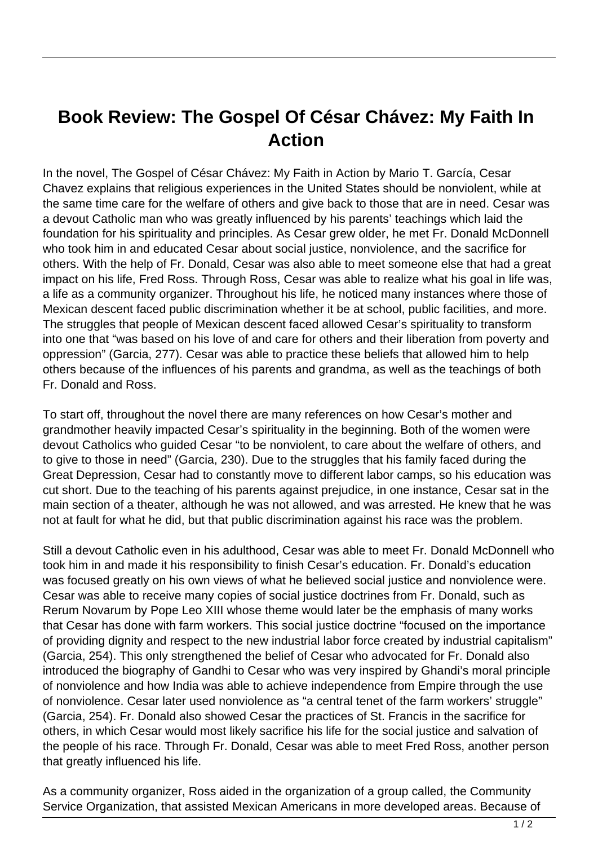## **Book Review: The Gospel Of César Chávez: My Faith In Action**

In the novel, The Gospel of César Chávez: My Faith in Action by Mario T. García, Cesar Chavez explains that religious experiences in the United States should be nonviolent, while at the same time care for the welfare of others and give back to those that are in need. Cesar was a devout Catholic man who was greatly influenced by his parents' teachings which laid the foundation for his spirituality and principles. As Cesar grew older, he met Fr. Donald McDonnell who took him in and educated Cesar about social justice, nonviolence, and the sacrifice for others. With the help of Fr. Donald, Cesar was also able to meet someone else that had a great impact on his life, Fred Ross. Through Ross, Cesar was able to realize what his goal in life was, a life as a community organizer. Throughout his life, he noticed many instances where those of Mexican descent faced public discrimination whether it be at school, public facilities, and more. The struggles that people of Mexican descent faced allowed Cesar's spirituality to transform into one that "was based on his love of and care for others and their liberation from poverty and oppression" (Garcia, 277). Cesar was able to practice these beliefs that allowed him to help others because of the influences of his parents and grandma, as well as the teachings of both Fr. Donald and Ross.

To start off, throughout the novel there are many references on how Cesar's mother and grandmother heavily impacted Cesar's spirituality in the beginning. Both of the women were devout Catholics who guided Cesar "to be nonviolent, to care about the welfare of others, and to give to those in need" (Garcia, 230). Due to the struggles that his family faced during the Great Depression, Cesar had to constantly move to different labor camps, so his education was cut short. Due to the teaching of his parents against prejudice, in one instance, Cesar sat in the main section of a theater, although he was not allowed, and was arrested. He knew that he was not at fault for what he did, but that public discrimination against his race was the problem.

Still a devout Catholic even in his adulthood, Cesar was able to meet Fr. Donald McDonnell who took him in and made it his responsibility to finish Cesar's education. Fr. Donald's education was focused greatly on his own views of what he believed social justice and nonviolence were. Cesar was able to receive many copies of social justice doctrines from Fr. Donald, such as Rerum Novarum by Pope Leo XIII whose theme would later be the emphasis of many works that Cesar has done with farm workers. This social justice doctrine "focused on the importance of providing dignity and respect to the new industrial labor force created by industrial capitalism" (Garcia, 254). This only strengthened the belief of Cesar who advocated for Fr. Donald also introduced the biography of Gandhi to Cesar who was very inspired by Ghandi's moral principle of nonviolence and how India was able to achieve independence from Empire through the use of nonviolence. Cesar later used nonviolence as "a central tenet of the farm workers' struggle" (Garcia, 254). Fr. Donald also showed Cesar the practices of St. Francis in the sacrifice for others, in which Cesar would most likely sacrifice his life for the social justice and salvation of the people of his race. Through Fr. Donald, Cesar was able to meet Fred Ross, another person that greatly influenced his life.

As a community organizer, Ross aided in the organization of a group called, the Community Service Organization, that assisted Mexican Americans in more developed areas. Because of